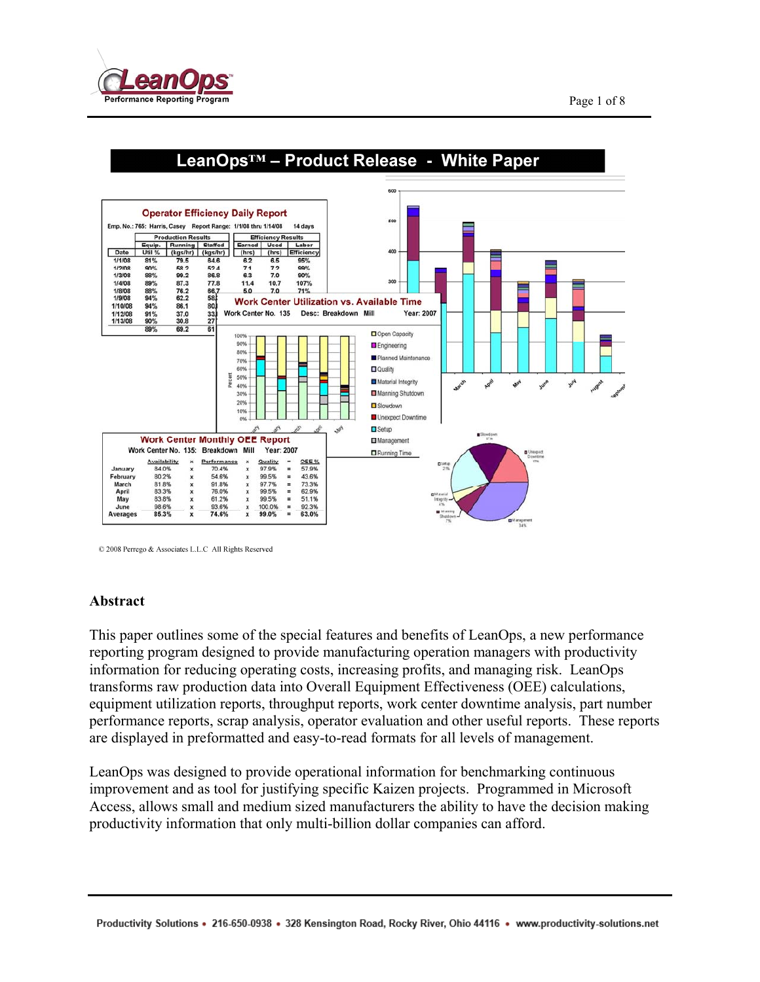



© 2008 Perrego & Associates L.L.C All Rights Reserved

#### **Abstract**

This paper outlines some of the special features and benefits of LeanOps, a new performance reporting program designed to provide manufacturing operation managers with productivity information for reducing operating costs, increasing profits, and managing risk. LeanOps transforms raw production data into Overall Equipment Effectiveness (OEE) calculations, equipment utilization reports, throughput reports, work center downtime analysis, part number performance reports, scrap analysis, operator evaluation and other useful reports. These reports are displayed in preformatted and easy-to-read formats for all levels of management.

LeanOps was designed to provide operational information for benchmarking continuous improvement and as tool for justifying specific Kaizen projects. Programmed in Microsoft Access, allows small and medium sized manufacturers the ability to have the decision making productivity information that only multi-billion dollar companies can afford.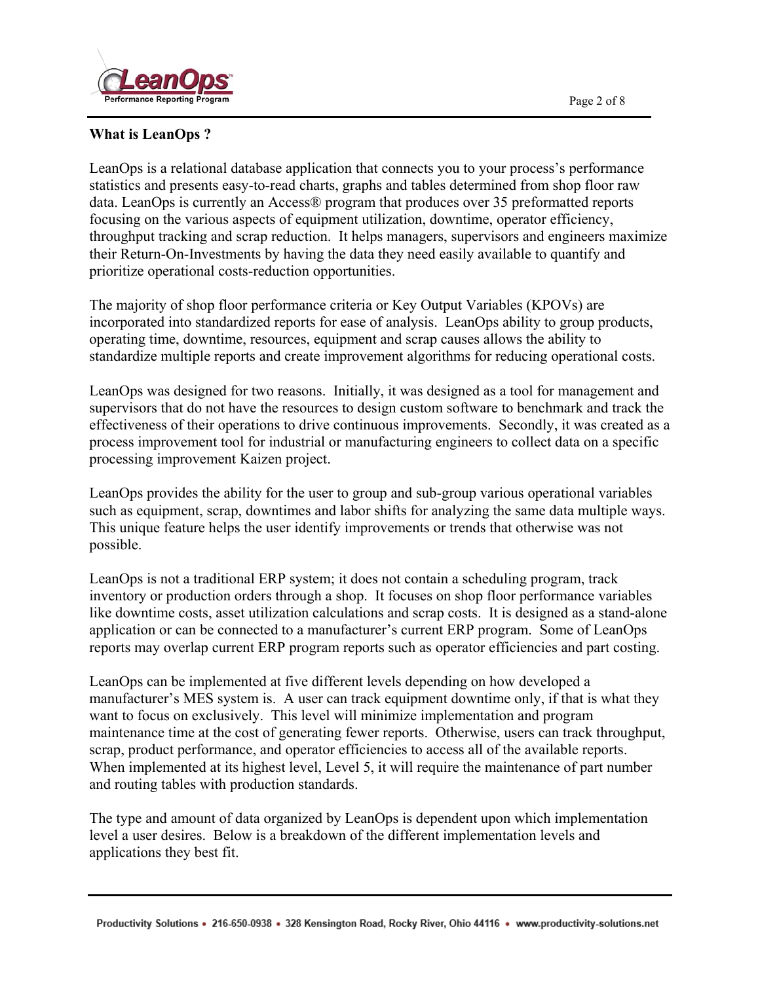

## **What is LeanOps ?**

LeanOps is a relational database application that connects you to your process's performance statistics and presents easy-to-read charts, graphs and tables determined from shop floor raw data. LeanOps is currently an Access® program that produces over 35 preformatted reports focusing on the various aspects of equipment utilization, downtime, operator efficiency, throughput tracking and scrap reduction. It helps managers, supervisors and engineers maximize their Return-On-Investments by having the data they need easily available to quantify and prioritize operational costs-reduction opportunities.

The majority of shop floor performance criteria or Key Output Variables (KPOVs) are incorporated into standardized reports for ease of analysis. LeanOps ability to group products, operating time, downtime, resources, equipment and scrap causes allows the ability to standardize multiple reports and create improvement algorithms for reducing operational costs.

LeanOps was designed for two reasons. Initially, it was designed as a tool for management and supervisors that do not have the resources to design custom software to benchmark and track the effectiveness of their operations to drive continuous improvements. Secondly, it was created as a process improvement tool for industrial or manufacturing engineers to collect data on a specific processing improvement Kaizen project.

LeanOps provides the ability for the user to group and sub-group various operational variables such as equipment, scrap, downtimes and labor shifts for analyzing the same data multiple ways. This unique feature helps the user identify improvements or trends that otherwise was not possible.

LeanOps is not a traditional ERP system; it does not contain a scheduling program, track inventory or production orders through a shop. It focuses on shop floor performance variables like downtime costs, asset utilization calculations and scrap costs. It is designed as a stand-alone application or can be connected to a manufacturer's current ERP program. Some of LeanOps reports may overlap current ERP program reports such as operator efficiencies and part costing.

LeanOps can be implemented at five different levels depending on how developed a manufacturer's MES system is. A user can track equipment downtime only, if that is what they want to focus on exclusively. This level will minimize implementation and program maintenance time at the cost of generating fewer reports. Otherwise, users can track throughput, scrap, product performance, and operator efficiencies to access all of the available reports. When implemented at its highest level, Level 5, it will require the maintenance of part number and routing tables with production standards.

The type and amount of data organized by LeanOps is dependent upon which implementation level a user desires. Below is a breakdown of the different implementation levels and applications they best fit.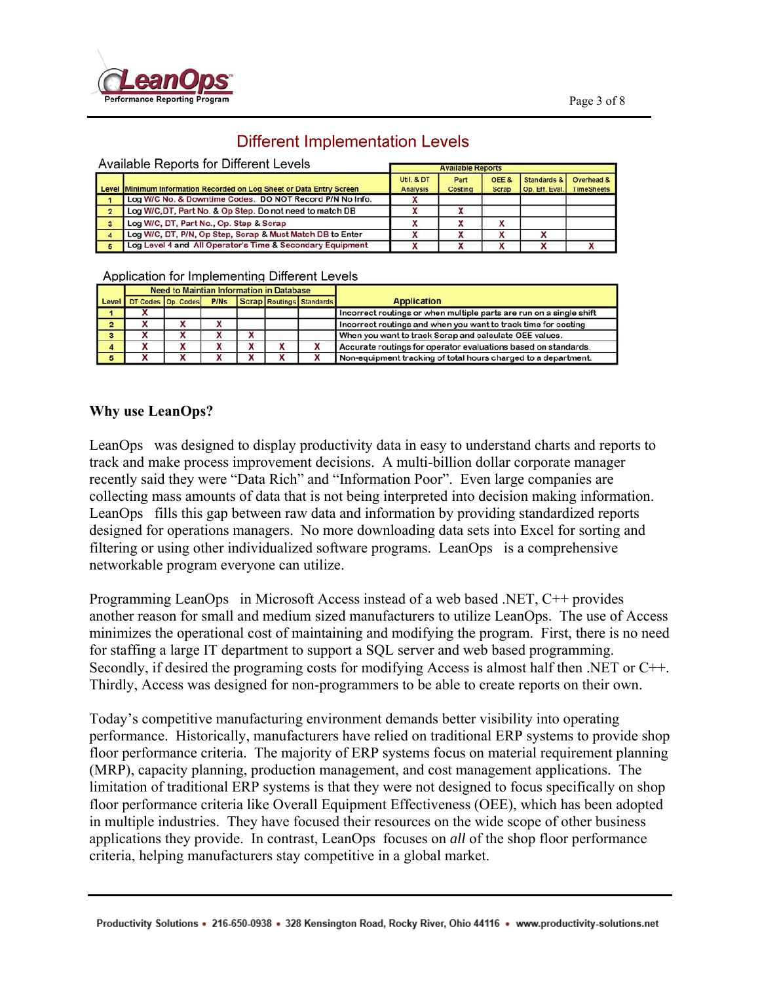

# **Different Implementation Levels**

|                | Available Reports for Different Levels                               |                 |                          |                  |                |                   |  |  |
|----------------|----------------------------------------------------------------------|-----------------|--------------------------|------------------|----------------|-------------------|--|--|
|                |                                                                      |                 | <b>Available Reports</b> |                  |                |                   |  |  |
|                |                                                                      | Util & DT       | Part                     | OFF <sub>8</sub> | Standards &    | Overhead &        |  |  |
|                | Level Minimum Information Recorded on Log Sheet or Data Entry Screen | <b>Analysis</b> | <b>Costing</b>           | <b>Scrap</b>     | Op. Eff. Eval. | <b>TimeSheets</b> |  |  |
|                | Log W/C No. & Downtime Codes. DO NOT Record P/N No Info.             |                 |                          |                  |                |                   |  |  |
| $\overline{2}$ | Log W/C, DT, Part No. & Op Step. Do not need to match DB             |                 |                          |                  |                |                   |  |  |
| з              | Log W/C, DT, Part No., Op. Step & Scrap                              | X               |                          |                  |                |                   |  |  |
| А              | Log W/C, DT, P/N, Op Step, Scrap & Must Match DB to Enter            |                 |                          |                  |                |                   |  |  |
| 5              | Log Level 4 and All Operator's Time & Secondary Equipment            |                 |                          |                  |                |                   |  |  |

#### Application for Implementing Different Levels

|                         |   | <b>Need to Maintian Information in Database</b> |             |              |  |                          |                                                                     |
|-------------------------|---|-------------------------------------------------|-------------|--------------|--|--------------------------|---------------------------------------------------------------------|
| Level                   |   | DT Codes Op. Codes                              | <b>P/Ns</b> |              |  | Scrap Routings Standards | <b>Application</b>                                                  |
|                         |   |                                                 |             |              |  |                          | Incorrect routings or when multiple parts are run on a single shift |
| 2                       | л | ^                                               |             |              |  |                          | Incorrect routings and when you want to track time for costing      |
| $\overline{\mathbf{3}}$ |   |                                                 |             | ^            |  |                          | When you want to track Scrap and calculate OEE values.              |
| 4                       |   | v<br>ᄉ                                          |             | $\cdot$<br>́ |  |                          | Accurate routings for operator evaluations based on standards.      |
| 5                       |   |                                                 |             |              |  |                          | Non-equipment tracking of total hours charged to a department.      |

#### **Why use LeanOps?**

LeanOps was designed to display productivity data in easy to understand charts and reports to track and make process improvement decisions. A multi-billion dollar corporate manager recently said they were "Data Rich" and "Information Poor". Even large companies are collecting mass amounts of data that is not being interpreted into decision making information. LeanOps fills this gap between raw data and information by providing standardized reports designed for operations managers. No more downloading data sets into Excel for sorting and filtering or using other individualized software programs. LeanOps is a comprehensive networkable program everyone can utilize.

Programming LeanOps in Microsoft Access instead of a web based .NET, C++ provides another reason for small and medium sized manufacturers to utilize LeanOps. The use of Access minimizes the operational cost of maintaining and modifying the program. First, there is no need for staffing a large IT department to support a SQL server and web based programming. Secondly, if desired the programing costs for modifying Access is almost half then .NET or C++. Thirdly, Access was designed for non-programmers to be able to create reports on their own.

Today's competitive manufacturing environment demands better visibility into operating performance. Historically, manufacturers have relied on traditional ERP systems to provide shop floor performance criteria. The majority of ERP systems focus on material requirement planning (MRP), capacity planning, production management, and cost management applications. The limitation of traditional ERP systems is that they were not designed to focus specifically on shop floor performance criteria like Overall Equipment Effectiveness (OEE), which has been adopted in multiple industries. They have focused their resources on the wide scope of other business applications they provide. In contrast, LeanOps focuses on *all* of the shop floor performance criteria, helping manufacturers stay competitive in a global market.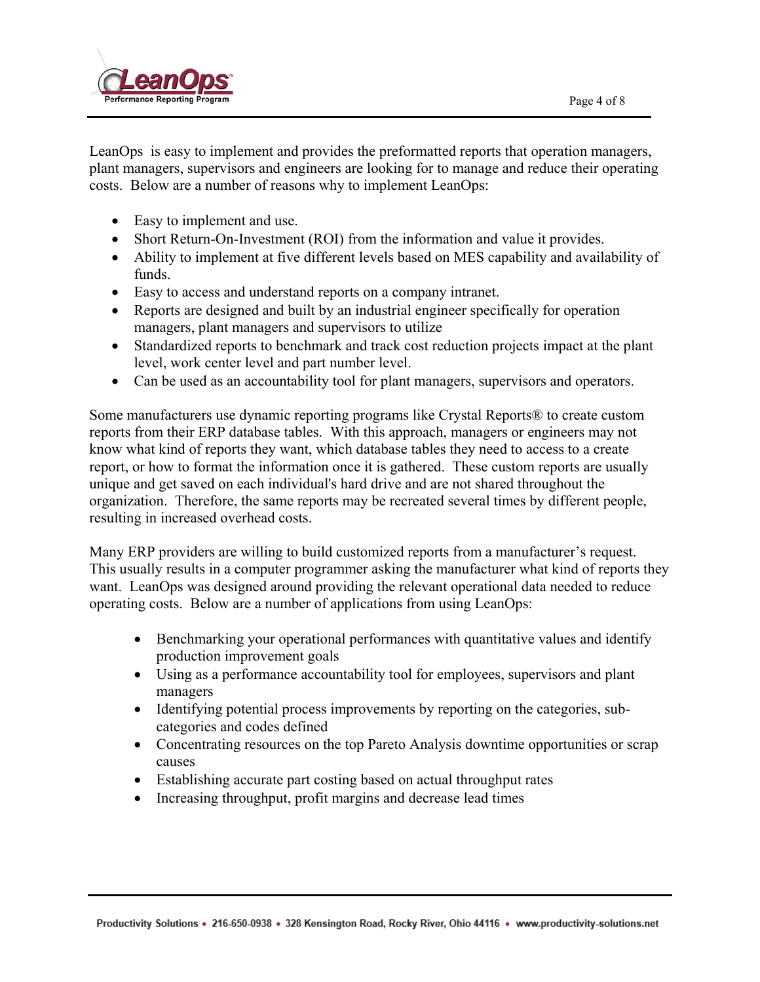

LeanOps is easy to implement and provides the preformatted reports that operation managers, plant managers, supervisors and engineers are looking for to manage and reduce their operating costs. Below are a number of reasons why to implement LeanOps:

- Easy to implement and use.
- Short Return-On-Investment (ROI) from the information and value it provides.
- Ability to implement at five different levels based on MES capability and availability of funds.
- Easy to access and understand reports on a company intranet.
- Reports are designed and built by an industrial engineer specifically for operation managers, plant managers and supervisors to utilize
- Standardized reports to benchmark and track cost reduction projects impact at the plant level, work center level and part number level.
- Can be used as an accountability tool for plant managers, supervisors and operators.

Some manufacturers use dynamic reporting programs like Crystal Reports® to create custom reports from their ERP database tables. With this approach, managers or engineers may not know what kind of reports they want, which database tables they need to access to a create report, or how to format the information once it is gathered. These custom reports are usually unique and get saved on each individual's hard drive and are not shared throughout the organization. Therefore, the same reports may be recreated several times by different people, resulting in increased overhead costs.

Many ERP providers are willing to build customized reports from a manufacturer's request. This usually results in a computer programmer asking the manufacturer what kind of reports they want. LeanOps was designed around providing the relevant operational data needed to reduce operating costs. Below are a number of applications from using LeanOps:

- Benchmarking your operational performances with quantitative values and identify production improvement goals
- Using as a performance accountability tool for employees, supervisors and plant managers
- Identifying potential process improvements by reporting on the categories, subcategories and codes defined
- Concentrating resources on the top Pareto Analysis downtime opportunities or scrap causes
- Establishing accurate part costing based on actual throughput rates
- Increasing throughput, profit margins and decrease lead times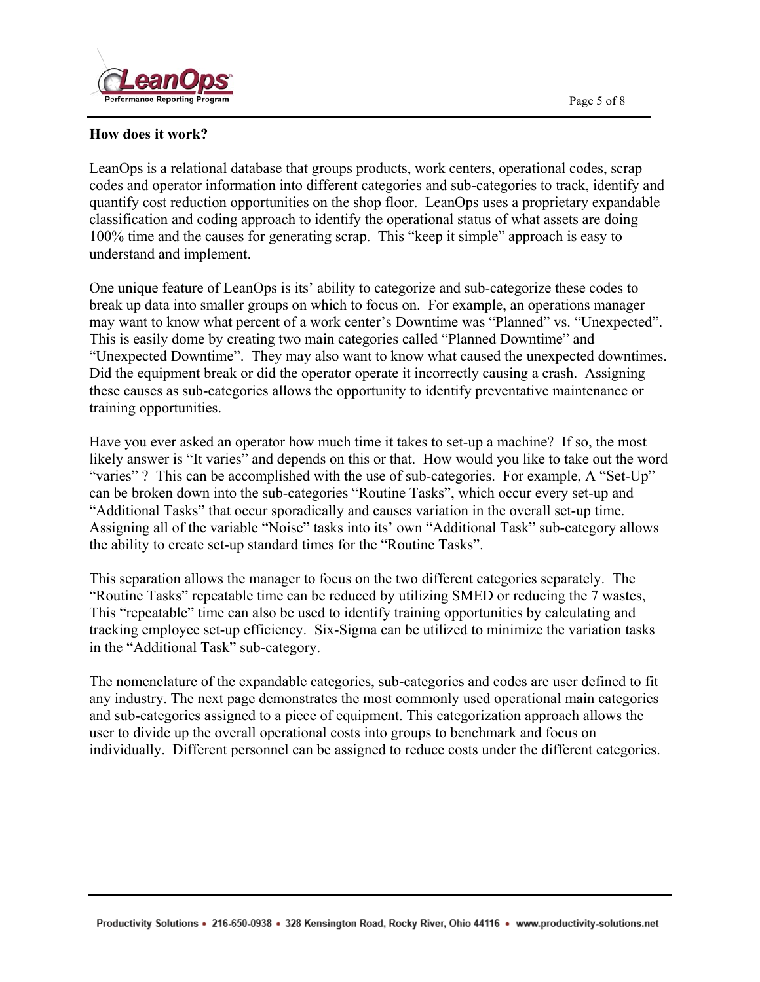

### **How does it work?**

LeanOps is a relational database that groups products, work centers, operational codes, scrap codes and operator information into different categories and sub-categories to track, identify and quantify cost reduction opportunities on the shop floor. LeanOps uses a proprietary expandable classification and coding approach to identify the operational status of what assets are doing 100% time and the causes for generating scrap. This "keep it simple" approach is easy to understand and implement.

One unique feature of LeanOps is its' ability to categorize and sub-categorize these codes to break up data into smaller groups on which to focus on. For example, an operations manager may want to know what percent of a work center's Downtime was "Planned" vs. "Unexpected". This is easily dome by creating two main categories called "Planned Downtime" and "Unexpected Downtime". They may also want to know what caused the unexpected downtimes. Did the equipment break or did the operator operate it incorrectly causing a crash. Assigning these causes as sub-categories allows the opportunity to identify preventative maintenance or training opportunities.

Have you ever asked an operator how much time it takes to set-up a machine? If so, the most likely answer is "It varies" and depends on this or that. How would you like to take out the word "varies" ? This can be accomplished with the use of sub-categories. For example, A "Set-Up" can be broken down into the sub-categories "Routine Tasks", which occur every set-up and "Additional Tasks" that occur sporadically and causes variation in the overall set-up time. Assigning all of the variable "Noise" tasks into its' own "Additional Task" sub-category allows the ability to create set-up standard times for the "Routine Tasks".

This separation allows the manager to focus on the two different categories separately. The "Routine Tasks" repeatable time can be reduced by utilizing SMED or reducing the 7 wastes, This "repeatable" time can also be used to identify training opportunities by calculating and tracking employee set-up efficiency. Six-Sigma can be utilized to minimize the variation tasks in the "Additional Task" sub-category.

The nomenclature of the expandable categories, sub-categories and codes are user defined to fit any industry. The next page demonstrates the most commonly used operational main categories and sub-categories assigned to a piece of equipment. This categorization approach allows the user to divide up the overall operational costs into groups to benchmark and focus on individually. Different personnel can be assigned to reduce costs under the different categories.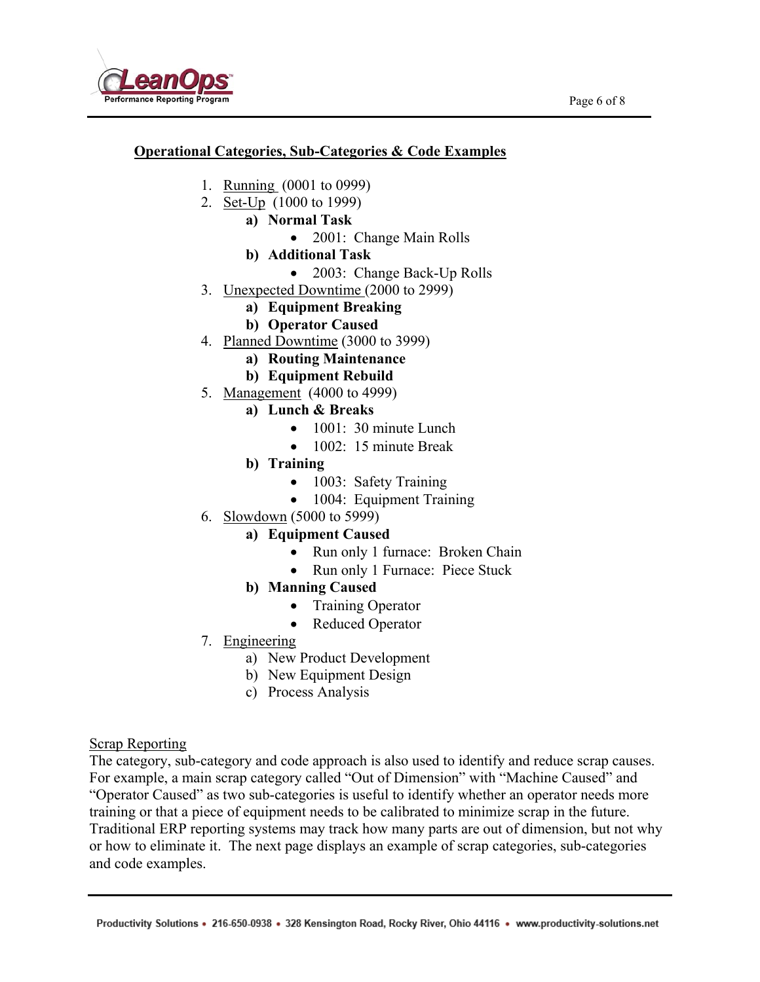

## **Operational Categories, Sub-Categories & Code Examples**

- 1. Running (0001 to 0999)
- 2. Set-Up (1000 to 1999)
	- **a) Normal Task** 
		- 2001: Change Main Rolls
	- **b) Additional Task** 
		- 2003: Change Back-Up Rolls
- 3. Unexpected Downtime (2000 to 2999)
	- **a) Equipment Breaking**
	- **b) Operator Caused**
- 4. Planned Downtime (3000 to 3999)
	- **a) Routing Maintenance**
	- **b) Equipment Rebuild**
- 5. Management (4000 to 4999)
	- **a) Lunch & Breaks** 
		- 1001: 30 minute Lunch
		- 1002: 15 minute Break
	- **b) Training** 
		- 1003: Safety Training
		- 1004: Equipment Training
- 6. Slowdown (5000 to 5999)
	- **a) Equipment Caused** 
		- Run only 1 furnace: Broken Chain
		- Run only 1 Furnace: Piece Stuck
	- **b) Manning Caused** 
		- Training Operator
		- Reduced Operator
- 7. Engineering
	- a) New Product Development
	- b) New Equipment Design
	- c) Process Analysis

## Scrap Reporting

The category, sub-category and code approach is also used to identify and reduce scrap causes. For example, a main scrap category called "Out of Dimension" with "Machine Caused" and "Operator Caused" as two sub-categories is useful to identify whether an operator needs more training or that a piece of equipment needs to be calibrated to minimize scrap in the future. Traditional ERP reporting systems may track how many parts are out of dimension, but not why or how to eliminate it. The next page displays an example of scrap categories, sub-categories and code examples.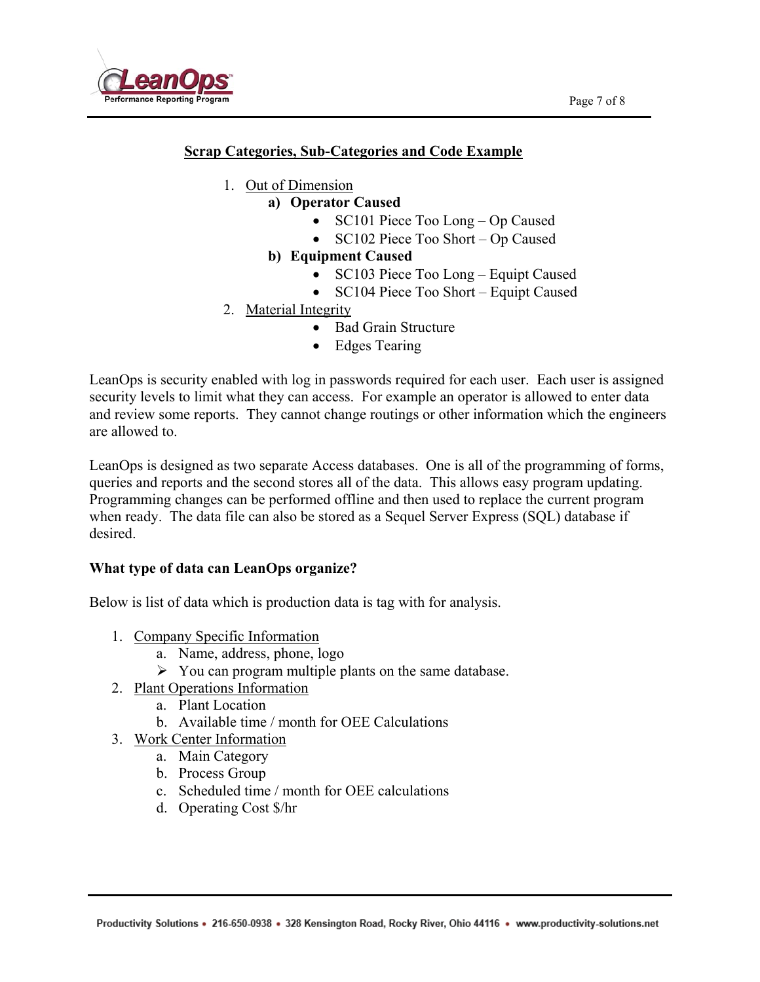

## **Scrap Categories, Sub-Categories and Code Example**

- 1. Out of Dimension
	- **a) Operator Caused** 
		- SC101 Piece Too Long Op Caused
		- SC102 Piece Too Short Op Caused
		- **b) Equipment Caused** 
			- SC103 Piece Too Long Equipt Caused
			- SC104 Piece Too Short Equipt Caused
- 2. Material Integrity
	- Bad Grain Structure
	- Edges Tearing

LeanOps is security enabled with log in passwords required for each user. Each user is assigned security levels to limit what they can access. For example an operator is allowed to enter data and review some reports. They cannot change routings or other information which the engineers are allowed to.

LeanOps is designed as two separate Access databases. One is all of the programming of forms, queries and reports and the second stores all of the data. This allows easy program updating. Programming changes can be performed offline and then used to replace the current program when ready. The data file can also be stored as a Sequel Server Express (SQL) database if desired.

## **What type of data can LeanOps organize?**

Below is list of data which is production data is tag with for analysis.

- 1. Company Specific Information
	- a. Name, address, phone, logo
	- $\triangleright$  You can program multiple plants on the same database.
- 2. Plant Operations Information
	- a. Plant Location
	- b. Available time / month for OEE Calculations
- 3. Work Center Information
	- a. Main Category
	- b. Process Group
	- c. Scheduled time / month for OEE calculations
	- d. Operating Cost \$/hr